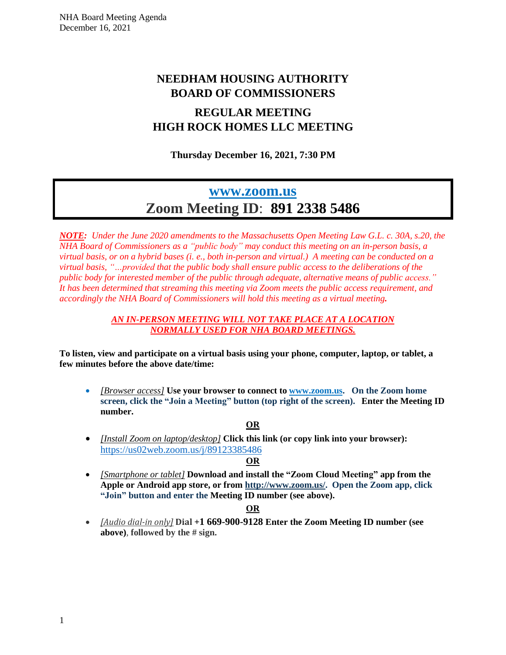# **NEEDHAM HOUSING AUTHORITY BOARD OF COMMISSIONERS**

# **REGULAR MEETING HIGH ROCK HOMES LLC MEETING**

## **Thursday December 16, 2021, 7:30 PM**

# **[www.zoom.us](http://www.zoom.us/) Zoom Meeting ID**: **891 2338 5486**

*NOTE: Under the June 2020 amendments to the Massachusetts Open Meeting Law G.L. c. 30A, s.20, the NHA Board of Commissioners as a "public body" may conduct this meeting on an in-person basis, a* virtual basis, or on a hybrid bases (i, e., both in-person and virtual.) A meeting can be conducted on a *virtual basis, "…provided that the public body shall ensure public access to the deliberations of the public body for interested member of the public through adequate, alternative means of public access." It has been determined that streaming this meeting via Zoom meets the public access requirement, and accordingly the NHA Board of Commissioners will hold this meeting as a virtual meeting.*

### *AN IN-PERSON MEETING WILL NOT TAKE PLACE AT A LOCATION NORMALLY USED FOR NHA BOARD MEETINGS.*

**To listen, view and participate on a virtual basis using your phone, computer, laptop, or tablet, a few minutes before the above date/time:**

• *[Browser access]* **Use your browser to connect to [www.zoom.us.](http://www.zoom.us/) On the Zoom home screen, click the "Join a Meeting" button (top right of the screen). Enter the Meeting ID number.**

## **OR**

• *[Install Zoom on laptop/desktop]* **Click this link (or copy link into your browser):**  [https://us02web.zoom.us/j/8](https://us02web.zoom.us/j/5)9123385486

## **OR**

• *[Smartphone or tablet]* **Download and install the "Zoom Cloud Meeting" app from the Apple or Android app store, or from [http://www.zoom.us/.](http://www.zoom.us/) Open the Zoom app, click "Join" button and enter the Meeting ID number (see above).**

## **OR**

• *[Audio dial-in only]* **Dial +1 669-900-9128 Enter the Zoom Meeting ID number (see above)**, **followed by the # sign.**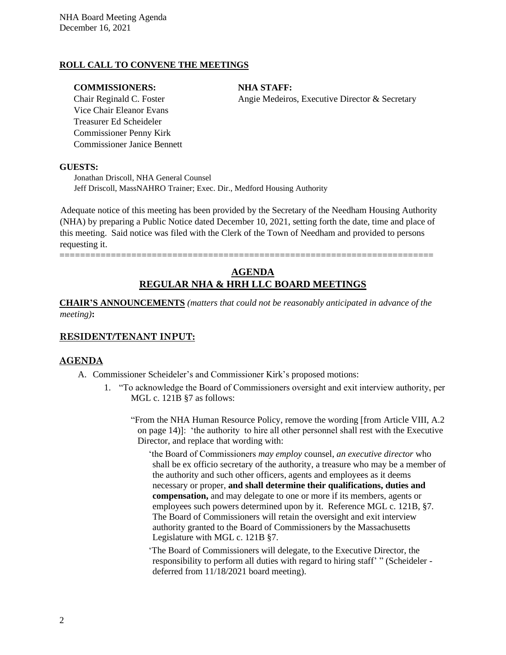## **ROLL CALL TO CONVENE THE MEETINGS**

## **COMMISSIONERS: NHA STAFF:**

Vice Chair Eleanor Evans Treasurer Ed Scheideler Commissioner Penny Kirk Commissioner Janice Bennett

Chair Reginald C. Foster Angie Medeiros, Executive Director & Secretary

#### **GUESTS:**

Jonathan Driscoll, NHA General Counsel Jeff Driscoll, MassNAHRO Trainer; Exec. Dir., Medford Housing Authority

Adequate notice of this meeting has been provided by the Secretary of the Needham Housing Authority (NHA) by preparing a Public Notice dated December 10, 2021, setting forth the date, time and place of this meeting. Said notice was filed with the Clerk of the Town of Needham and provided to persons requesting it.

=========================================================================

## **AGENDA REGULAR NHA & HRH LLC BOARD MEETINGS**

**CHAIR'S ANNOUNCEMENTS** *(matters that could not be reasonably anticipated in advance of the meeting)***:**

## **RESIDENT/TENANT INPUT:**

## **AGENDA**

- A. Commissioner Scheideler's and Commissioner Kirk's proposed motions:
	- 1. "To acknowledge the Board of Commissioners oversight and exit interview authority, per MGL c. 121B §7 as follows:

"From the NHA Human Resource Policy, remove the wording [from Article VIII, A.2 on page 14)]: 'the authority to hire all other personnel shall rest with the Executive Director, and replace that wording with:

'the Board of Commissioners *may employ* counsel, *an executive director* who shall be ex officio secretary of the authority, a treasure who may be a member of the authority and such other officers, agents and employees as it deems necessary or proper, **and shall determine their qualifications, duties and compensation,** and may delegate to one or more if its members, agents or employees such powers determined upon by it. Reference MGL c. 121B, §7. The Board of Commissioners will retain the oversight and exit interview authority granted to the Board of Commissioners by the Massachusetts Legislature with MGL c. 121B §7.

'The Board of Commissioners will delegate, to the Executive Director, the responsibility to perform all duties with regard to hiring staff' " (Scheideler deferred from 11/18/2021 board meeting).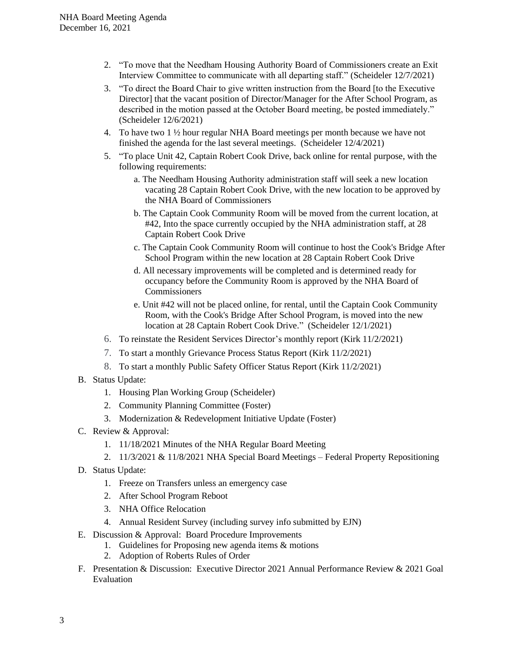- 2. "To move that the Needham Housing Authority Board of Commissioners create an Exit Interview Committee to communicate with all departing staff." (Scheideler 12/7/2021)
- 3. "To direct the Board Chair to give written instruction from the Board [to the Executive Director] that the vacant position of Director/Manager for the After School Program, as described in the motion passed at the October Board meeting, be posted immediately." (Scheideler 12/6/2021)
- 4. To have two  $1 \frac{1}{2}$  hour regular NHA Board meetings per month because we have not finished the agenda for the last several meetings. (Scheideler 12/4/2021)
- 5. "To place Unit 42, Captain Robert Cook Drive, back online for rental purpose, with the following requirements:
	- a. The Needham Housing Authority administration staff will seek a new location vacating 28 Captain Robert Cook Drive, with the new location to be approved by the NHA Board of Commissioners
	- b. The Captain Cook Community Room will be moved from the current location, at #42, Into the space currently occupied by the NHA administration staff, at 28 Captain Robert Cook Drive
	- c. The Captain Cook Community Room will continue to host the Cook's Bridge After School Program within the new location at 28 Captain Robert Cook Drive
	- d. All necessary improvements will be completed and is determined ready for occupancy before the Community Room is approved by the NHA Board of Commissioners
	- e. Unit #42 will not be placed online, for rental, until the Captain Cook Community Room, with the Cook's Bridge After School Program, is moved into the new location at 28 Captain Robert Cook Drive." (Scheideler 12/1/2021)
- 6. To reinstate the Resident Services Director's monthly report (Kirk 11/2/2021)
- 7. To start a monthly Grievance Process Status Report (Kirk 11/2/2021)
- 8. To start a monthly Public Safety Officer Status Report (Kirk 11/2/2021)
- B. Status Update:
	- 1. Housing Plan Working Group (Scheideler)
	- 2. Community Planning Committee (Foster)
	- 3. Modernization & Redevelopment Initiative Update (Foster)
- C. Review & Approval:
	- 1. 11/18/2021 Minutes of the NHA Regular Board Meeting
	- 2. 11/3/2021 & 11/8/2021 NHA Special Board Meetings Federal Property Repositioning
- D. Status Update:
	- 1. Freeze on Transfers unless an emergency case
	- 2. After School Program Reboot
	- 3. NHA Office Relocation
	- 4. Annual Resident Survey (including survey info submitted by EJN)
- E. Discussion & Approval: Board Procedure Improvements
	- 1. Guidelines for Proposing new agenda items & motions
	- 2. Adoption of Roberts Rules of Order
- F. Presentation & Discussion: Executive Director 2021 Annual Performance Review & 2021 Goal Evaluation